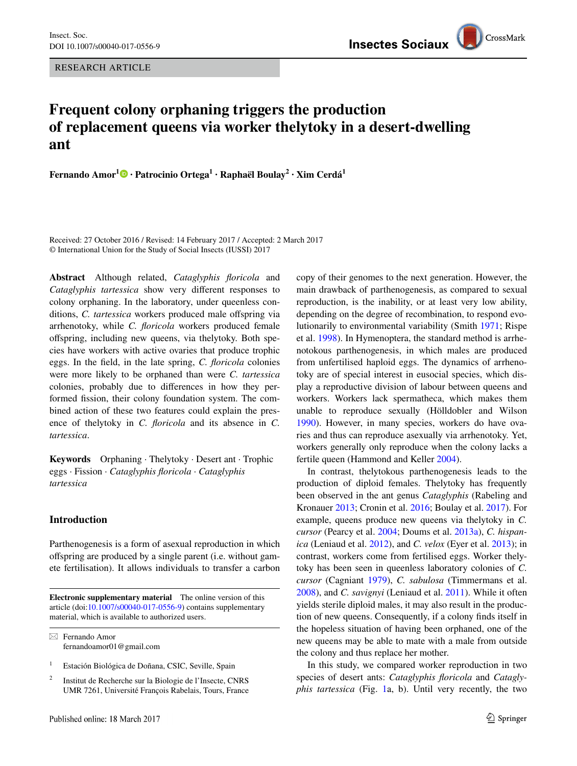RESEARCH ARTICLE

# **Frequent colony orphaning triggers the production of replacement queens via worker thelytoky in a desert-dwelling ant**

**Fernando Amor1 · Patrocinio Ortega<sup>1</sup> · Raphaël Boulay2 · Xim Cerdá<sup>1</sup>**

Received: 27 October 2016 / Revised: 14 February 2017 / Accepted: 2 March 2017 © International Union for the Study of Social Insects (IUSSI) 2017

**Abstract** Although related, *Cataglyphis floricola* and *Cataglyphis tartessica* show very different responses to colony orphaning. In the laboratory, under queenless conditions, *C. tartessica* workers produced male offspring via arrhenotoky, while *C. floricola* workers produced female offspring, including new queens, via thelytoky. Both species have workers with active ovaries that produce trophic eggs. In the field, in the late spring, *C. floricola* colonies were more likely to be orphaned than were *C. tartessica* colonies, probably due to differences in how they performed fission, their colony foundation system. The combined action of these two features could explain the presence of thelytoky in *C. floricola* and its absence in *C. tartessica*.

**Keywords** Orphaning · Thelytoky · Desert ant · Trophic eggs · Fission · *Cataglyphis floricola* · *Cataglyphis tartessica*

### **Introduction**

Parthenogenesis is a form of asexual reproduction in which offspring are produced by a single parent (i.e. without gamete fertilisation). It allows individuals to transfer a carbon

**Electronic supplementary material** The online version of this article (doi:[10.1007/s00040-017-0556-9\)](http://dx.doi.org/10.1007/s00040-017-0556-9) contains supplementary material, which is available to authorized users.

 $\boxtimes$  Fernando Amor fernandoamor01@gmail.com

- <sup>1</sup> Estación Biológica de Doñana, CSIC, Seville, Spain
- <sup>2</sup> Institut de Recherche sur la Biologie de l'Insecte, CNRS UMR 7261, Université François Rabelais, Tours, France

copy of their genomes to the next generation. However, the main drawback of parthenogenesis, as compared to sexual reproduction, is the inability, or at least very low ability, depending on the degree of recombination, to respond evolutionarily to environmental variability (Smith [1971;](#page-5-0) Rispe et al. [1998](#page-5-1)). In Hymenoptera, the standard method is arrhenotokous parthenogenesis, in which males are produced from unfertilised haploid eggs. The dynamics of arrhenotoky are of special interest in eusocial species, which display a reproductive division of labour between queens and workers. Workers lack spermatheca, which makes them unable to reproduce sexually (Hölldobler and Wilson [1990](#page-4-0)). However, in many species, workers do have ovaries and thus can reproduce asexually via arrhenotoky. Yet, workers generally only reproduce when the colony lacks a fertile queen (Hammond and Keller [2004\)](#page-4-1).

In contrast, thelytokous parthenogenesis leads to the production of diploid females. Thelytoky has frequently been observed in the ant genus *Cataglyphis* (Rabeling and Kronauer [2013](#page-5-2); Cronin et al. [2016;](#page-4-2) Boulay et al. [2017](#page-4-3)). For example, queens produce new queens via thelytoky in *C. cursor* (Pearcy et al. [2004](#page-4-4); Doums et al. [2013a\)](#page-4-5), *C. hispanica* (Leniaud et al. [2012](#page-4-6)), and *C. velox* (Eyer et al. [2013\)](#page-4-7); in contrast, workers come from fertilised eggs. Worker thelytoky has been seen in queenless laboratory colonies of *C. cursor* (Cagniant [1979\)](#page-4-8), *C. sabulosa* (Timmermans et al. [2008](#page-5-3)), and *C. savignyi* (Leniaud et al. [2011\)](#page-4-9). While it often yields sterile diploid males, it may also result in the production of new queens. Consequently, if a colony finds itself in the hopeless situation of having been orphaned, one of the new queens may be able to mate with a male from outside the colony and thus replace her mother.

In this study, we compared worker reproduction in two species of desert ants: *Cataglyphis floricola* and *Cataglyphis tartessica* (Fig. [1a](#page-1-0), b). Until very recently, the two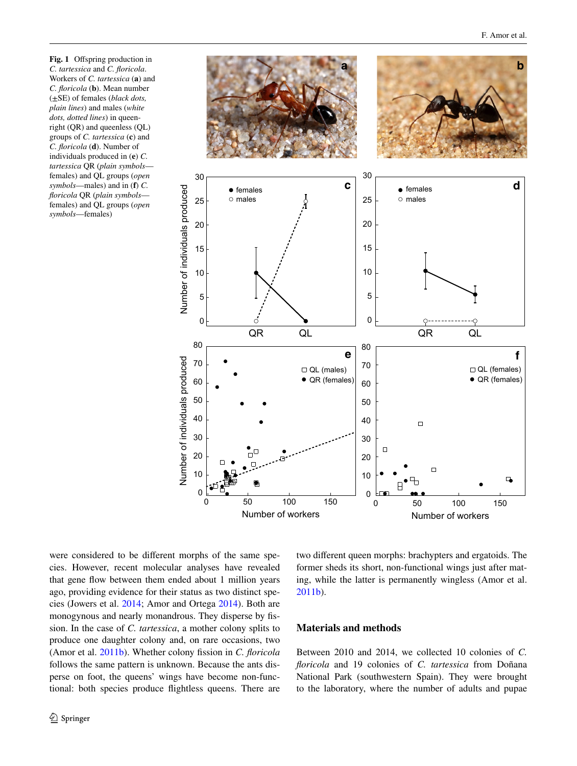<span id="page-1-0"></span>**Fig. 1** Offspring production in *C. tartessica* and *C. floricola*. Workers of *C. tartessica* (**a**) and *C. floricola* (**b**). Mean number (±SE) of females (*black dots, plain lines*) and males (*white dots, dotted lines*) in queenright (QR) and queenless (QL) groups of *C. tartessica* (**c**) and *C. floricola* (**d**). Number of individuals produced in (**e**) *C. tartessica* QR (*plain symbols* females) and QL groups (*open symbols*—males) and in (**f**) *C. floricola* QR (*plain symbols* females) and QL groups (*open symbols*—females)



were considered to be different morphs of the same species. However, recent molecular analyses have revealed that gene flow between them ended about 1 million years ago, providing evidence for their status as two distinct species (Jowers et al. [2014;](#page-4-10) Amor and Ortega [2014\)](#page-4-11). Both are monogynous and nearly monandrous. They disperse by fission. In the case of *C. tartessica*, a mother colony splits to produce one daughter colony and, on rare occasions, two (Amor et al. [2011b\)](#page-4-12). Whether colony fission in *C. floricola* follows the same pattern is unknown. Because the ants disperse on foot, the queens' wings have become non-functional: both species produce flightless queens. There are two different queen morphs: brachypters and ergatoids. The former sheds its short, non-functional wings just after mating, while the latter is permanently wingless (Amor et al. [2011b](#page-4-12)).

### **Materials and methods**

Between 2010 and 2014, we collected 10 colonies of *C. floricola* and 19 colonies of *C. tartessica* from Doñana National Park (southwestern Spain). They were brought to the laboratory, where the number of adults and pupae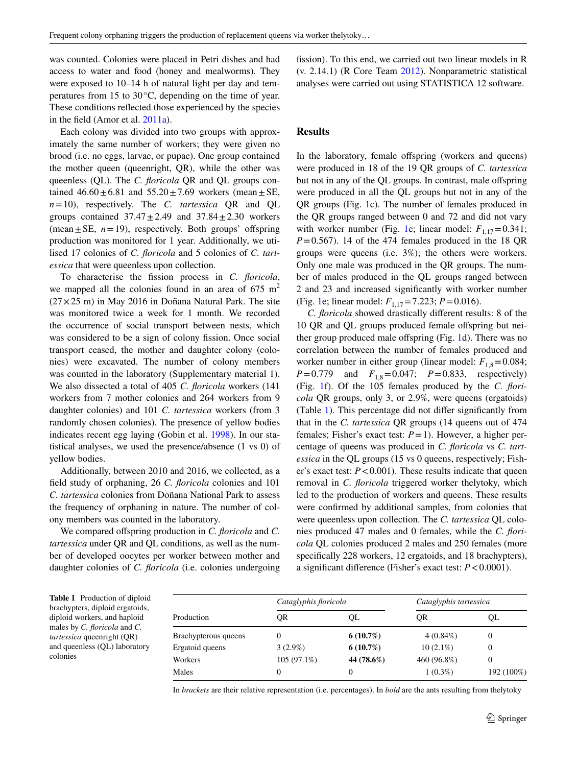was counted. Colonies were placed in Petri dishes and had access to water and food (honey and mealworms). They were exposed to 10–14 h of natural light per day and temperatures from 15 to 30°C, depending on the time of year. These conditions reflected those experienced by the species in the field (Amor et al. [2011a\)](#page-4-13).

Each colony was divided into two groups with approximately the same number of workers; they were given no brood (i.e. no eggs, larvae, or pupae). One group contained the mother queen (queenright, QR), while the other was queenless (QL). The *C. floricola* QR and QL groups contained  $46.60 \pm 6.81$  and  $55.20 \pm 7.69$  workers (mean  $\pm$  SE, *n*=10), respectively. The *C. tartessica* QR and QL groups contained  $37.47 \pm 2.49$  and  $37.84 \pm 2.30$  workers (mean $\pm$ SE,  $n=19$ ), respectively. Both groups' offspring production was monitored for 1 year. Additionally, we utilised 17 colonies of *C. floricola* and 5 colonies of *C. tartessica* that were queenless upon collection.

To characterise the fission process in *C. floricola*, we mapped all the colonies found in an area of  $675 \text{ m}^2$  $(27 \times 25 \text{ m})$  in May 2016 in Doñana Natural Park. The site was monitored twice a week for 1 month. We recorded the occurrence of social transport between nests, which was considered to be a sign of colony fission. Once social transport ceased, the mother and daughter colony (colonies) were excavated. The number of colony members was counted in the laboratory (Supplementary material 1). We also dissected a total of 405 *C. floricola* workers (141 workers from 7 mother colonies and 264 workers from 9 daughter colonies) and 101 *C. tartessica* workers (from 3 randomly chosen colonies). The presence of yellow bodies indicates recent egg laying (Gobin et al. [1998\)](#page-4-14). In our statistical analyses, we used the presence/absence (1 vs 0) of yellow bodies.

Additionally, between 2010 and 2016, we collected, as a field study of orphaning, 26 *C. floricola* colonies and 101 *C. tartessica* colonies from Doñana National Park to assess the frequency of orphaning in nature. The number of colony members was counted in the laboratory.

We compared offspring production in *C. floricola* and *C. tartessica* under QR and QL conditions, as well as the number of developed oocytes per worker between mother and daughter colonies of *C. floricola* (i.e. colonies undergoing fission). To this end, we carried out two linear models in R (v. 2.14.1) (R Core Team [2012\)](#page-5-4). Nonparametric statistical analyses were carried out using STATISTICA 12 software.

### **Results**

In the laboratory, female offspring (workers and queens) were produced in 18 of the 19 QR groups of *C. tartessica* but not in any of the QL groups. In contrast, male offspring were produced in all the QL groups but not in any of the QR groups (Fig. [1](#page-1-0)c). The number of females produced in the QR groups ranged between 0 and 72 and did not vary with worker number (Fig. [1e](#page-1-0); linear model:  $F_{1,17}=0.341$ ;  $P=0.567$ ). 14 of the 474 females produced in the 18 QR groups were queens (i.e. 3%); the others were workers. Only one male was produced in the QR groups. The number of males produced in the QL groups ranged between 2 and 23 and increased significantly with worker number (Fig. [1e](#page-1-0); linear model:  $F_{1,17} = 7.223$ ;  $P = 0.016$ ).

*C. floricola* showed drastically different results: 8 of the 10 QR and QL groups produced female offspring but neither group produced male offspring (Fig. [1](#page-1-0)d). There was no correlation between the number of females produced and worker number in either group (linear model:  $F_{1,8}$ =0.084;  $P=0.779$  and  $F_{1,8}=0.047$ ;  $P=0.833$ , respectively) (Fig. [1](#page-1-0)f). Of the 105 females produced by the *C. floricola* QR groups, only 3, or 2.9%, were queens (ergatoids) (Table [1\)](#page-2-0). This percentage did not differ significantly from that in the *C. tartessica* QR groups (14 queens out of 474 females; Fisher's exact test: *P*=1). However, a higher percentage of queens was produced in *C. floricola* vs *C. tartessica* in the QL groups (15 vs 0 queens, respectively; Fisher's exact test:  $P < 0.001$ ). These results indicate that queen removal in *C. floricola* triggered worker thelytoky, which led to the production of workers and queens. These results were confirmed by additional samples, from colonies that were queenless upon collection. The *C. tartessica* QL colonies produced 47 males and 0 females, while the *C. floricola* QL colonies produced 2 males and 250 females (more specifically 228 workers, 12 ergatoids, and 18 brachypters), a significant difference (Fisher's exact test: *P*<0.0001).

<span id="page-2-0"></span>**Table 1** Production of diploid brachypters, diploid ergatoids, diploid workers, and haploid males by *C. floricola* and *C. tartessica* queenright (QR) and queenless (QL) laboratory colonies

| Production           | Cataglyphis floricola |            | Cataglyphis tartessica |            |
|----------------------|-----------------------|------------|------------------------|------------|
|                      | OR                    | OL         | 0R                     | QL         |
| Brachypterous queens | 0                     | 6(10.7%)   | $4(0.84\%)$            | 0          |
| Ergatoid queens      | $3(2.9\%)$            | 6(10.7%)   | $10(2.1\%)$            | 0          |
| Workers              | $105(97.1\%)$         | 44 (78.6%) | 460 (96.8%)            |            |
| Males                | 0                     | $_{0}$     | $1(0.3\%)$             | 192 (100%) |

In *brackets* are their relative representation (i.e. percentages). In *bold* are the ants resulting from thelytoky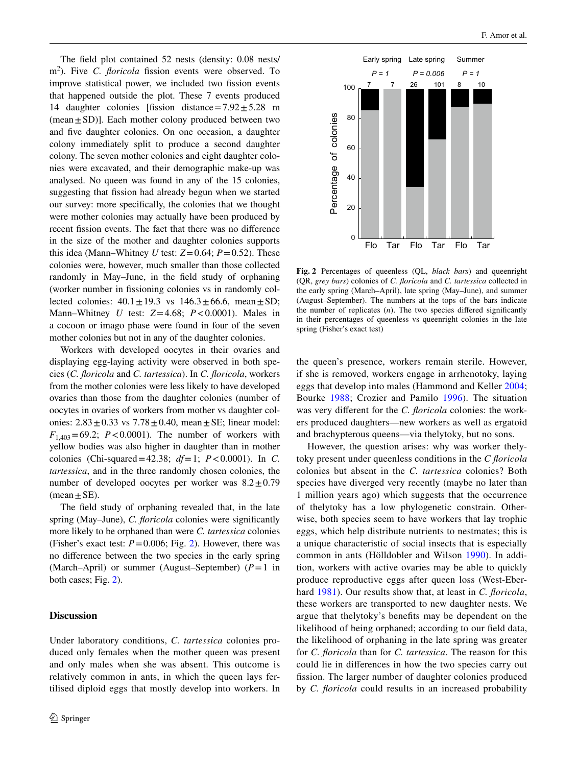The field plot contained 52 nests (density: 0.08 nests/ m<sup>2</sup>). Five *C. floricola* fission events were observed. To improve statistical power, we included two fission events that happened outside the plot. These 7 events produced 14 daughter colonies [fission distance= $7.92 \pm 5.28$  m  $(mean \pm SD)$ ]. Each mother colony produced between two and five daughter colonies. On one occasion, a daughter colony immediately split to produce a second daughter colony. The seven mother colonies and eight daughter colonies were excavated, and their demographic make-up was analysed. No queen was found in any of the 15 colonies, suggesting that fission had already begun when we started our survey: more specifically, the colonies that we thought were mother colonies may actually have been produced by recent fission events. The fact that there was no difference in the size of the mother and daughter colonies supports this idea (Mann–Whitney *U* test:  $Z=0.64$ ;  $P=0.52$ ). These colonies were, however, much smaller than those collected randomly in May–June, in the field study of orphaning (worker number in fissioning colonies vs in randomly collected colonies:  $40.1 \pm 19.3$  vs  $146.3 \pm 66.6$ , mean $\pm$ SD; Mann–Whitney *U* test: *Z*=4.68; *P*<0.0001). Males in a cocoon or imago phase were found in four of the seven mother colonies but not in any of the daughter colonies.

Workers with developed oocytes in their ovaries and displaying egg-laying activity were observed in both species (*C. floricola* and *C. tartessica*). In *C. floricola*, workers from the mother colonies were less likely to have developed ovaries than those from the daughter colonies (number of oocytes in ovaries of workers from mother vs daughter colonies:  $2.83 \pm 0.33$  vs  $7.78 \pm 0.40$ , mean  $\pm$  SE; linear model:  $F_{1,403} = 69.2$ ; *P*<0.0001). The number of workers with yellow bodies was also higher in daughter than in mother colonies (Chi-squared=42.38; *df*=1; *P*<0.0001). In *C. tartessica*, and in the three randomly chosen colonies, the number of developed oocytes per worker was  $8.2 \pm 0.79$  $(mean \pm SE)$ .

The field study of orphaning revealed that, in the late spring (May–June), *C. floricola* colonies were significantly more likely to be orphaned than were *C. tartessica* colonies (Fisher's exact test:  $P = 0.006$ ; Fig. [2](#page-3-0)). However, there was no difference between the two species in the early spring (March–April) or summer (August–September) (*P*=1 in both cases; Fig. [2\)](#page-3-0).

## **Discussion**

Under laboratory conditions, *C. tartessica* colonies produced only females when the mother queen was present and only males when she was absent. This outcome is relatively common in ants, in which the queen lays fertilised diploid eggs that mostly develop into workers. In



<span id="page-3-0"></span>**Fig. 2** Percentages of queenless (QL, *black bars*) and queenright (QR, *grey bars*) colonies of *C. floricola* and *C. tartessica* collected in the early spring (March–April), late spring (May–June), and summer (August–September). The numbers at the tops of the bars indicate the number of replicates (*n*). The two species differed significantly in their percentages of queenless vs queenright colonies in the late spring (Fisher's exact test)

the queen's presence, workers remain sterile. However, if she is removed, workers engage in arrhenotoky, laying eggs that develop into males (Hammond and Keller [2004](#page-4-1); Bourke [1988](#page-4-15); Crozier and Pamilo [1996\)](#page-4-16). The situation was very different for the *C. floricola* colonies: the workers produced daughters—new workers as well as ergatoid and brachypterous queens—via thelytoky, but no sons.

However, the question arises: why was worker thelytoky present under queenless conditions in the *C floricola* colonies but absent in the *C. tartessica* colonies? Both species have diverged very recently (maybe no later than 1 million years ago) which suggests that the occurrence of thelytoky has a low phylogenetic constrain. Otherwise, both species seem to have workers that lay trophic eggs, which help distribute nutrients to nestmates; this is a unique characteristic of social insects that is especially common in ants (Hölldobler and Wilson [1990](#page-4-0)). In addition, workers with active ovaries may be able to quickly produce reproductive eggs after queen loss (West-Eberhard [1981\)](#page-5-5). Our results show that, at least in *C. floricola*, these workers are transported to new daughter nests. We argue that thelytoky's benefits may be dependent on the likelihood of being orphaned; according to our field data, the likelihood of orphaning in the late spring was greater for *C. floricola* than for *C. tartessica*. The reason for this could lie in differences in how the two species carry out fission. The larger number of daughter colonies produced by *C. floricola* could results in an increased probability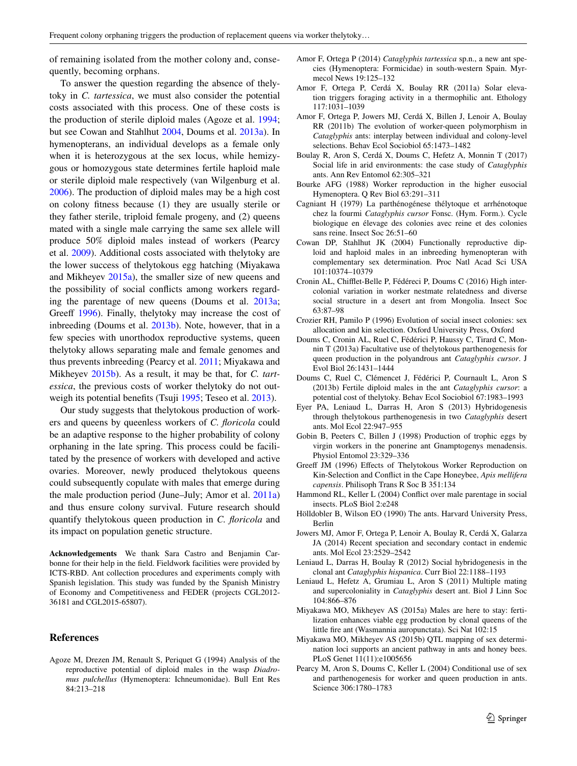of remaining isolated from the mother colony and, consequently, becoming orphans.

To answer the question regarding the absence of thelytoky in *C. tartessica*, we must also consider the potential costs associated with this process. One of these costs is the production of sterile diploid males (Agoze et al. [1994](#page-4-17); but see Cowan and Stahlhut [2004](#page-4-18), Doums et al. [2013a\)](#page-4-5). In hymenopterans, an individual develops as a female only when it is heterozygous at the sex locus, while hemizygous or homozygous state determines fertile haploid male or sterile diploid male respectively (van Wilgenburg et al. [2006](#page-5-6)). The production of diploid males may be a high cost on colony fitness because (1) they are usually sterile or they father sterile, triploid female progeny, and (2) queens mated with a single male carrying the same sex allele will produce 50% diploid males instead of workers (Pearcy et al. [2009\)](#page-5-7). Additional costs associated with thelytoky are the lower success of thelytokous egg hatching (Miyakawa and Mikheyev [2015a](#page-4-19)), the smaller size of new queens and the possibility of social conflicts among workers regarding the parentage of new queens (Doums et al. [2013a](#page-4-5); Greeff [1996\)](#page-4-20). Finally, thelytoky may increase the cost of inbreeding (Doums et al. [2013b](#page-4-21)). Note, however, that in a few species with unorthodox reproductive systems, queen thelytoky allows separating male and female genomes and thus prevents inbreeding (Pearcy et al. [2011;](#page-5-8) Miyakawa and Mikheyev [2015b\)](#page-4-22). As a result, it may be that, for *C. tartessica*, the previous costs of worker thelytoky do not outweigh its potential benefits (Tsuji [1995;](#page-5-9) Teseo et al. [2013\)](#page-5-10).

Our study suggests that thelytokous production of workers and queens by queenless workers of *C. floricola* could be an adaptive response to the higher probability of colony orphaning in the late spring. This process could be facilitated by the presence of workers with developed and active ovaries. Moreover, newly produced thelytokous queens could subsequently copulate with males that emerge during the male production period (June–July; Amor et al. [2011a\)](#page-4-13) and thus ensure colony survival. Future research should quantify thelytokous queen production in *C. floricola* and its impact on population genetic structure.

**Acknowledgements** We thank Sara Castro and Benjamin Carbonne for their help in the field. Fieldwork facilities were provided by ICTS-RBD. Ant collection procedures and experiments comply with Spanish legislation. This study was funded by the Spanish Ministry of Economy and Competitiveness and FEDER (projects CGL2012- 36181 and CGL2015-65807).

#### **References**

<span id="page-4-17"></span>Agoze M, Drezen JM, Renault S, Periquet G (1994) Analysis of the reproductive potential of diploid males in the wasp *Diadromus pulchellus* (Hymenoptera: Ichneumonidae). Bull Ent Res 84:213–218

- <span id="page-4-11"></span>Amor F, Ortega P (2014) *Cataglyphis tartessica* sp.n., a new ant species (Hymenoptera: Formicidae) in south-western Spain. Myrmecol News 19:125–132
- <span id="page-4-13"></span>Amor F, Ortega P, Cerdá X, Boulay RR (2011a) Solar elevation triggers foraging activity in a thermophilic ant. Ethology 117:1031–1039
- <span id="page-4-12"></span>Amor F, Ortega P, Jowers MJ, Cerdá X, Billen J, Lenoir A, Boulay RR (2011b) The evolution of worker-queen polymorphism in *Cataglyphis* ants: interplay between individual and colony-level selections. Behav Ecol Sociobiol 65:1473–1482
- <span id="page-4-3"></span>Boulay R, Aron S, Cerdá X, Doums C, Hefetz A, Monnin T (2017) Social life in arid environments: the case study of *Cataglyphis* ants. Ann Rev Entomol 62:305–321
- <span id="page-4-15"></span>Bourke AFG (1988) Worker reproduction in the higher eusocial Hymenoptera. Q Rev Biol 63:291–311
- <span id="page-4-8"></span>Cagniant H (1979) La parthénogénese thélytoque et arrhénotoque chez la fourmi *Cataglyphis cursor* Fonsc. (Hym. Form.). Cycle biologique en élevage des colonies avec reine et des colonies sans reine. Insect Soc 26:51–60
- <span id="page-4-18"></span>Cowan DP, Stahlhut JK (2004) Functionally reproductive diploid and haploid males in an inbreeding hymenopteran with complementary sex determination. Proc Natl Acad Sci USA 101:10374–10379
- <span id="page-4-2"></span>Cronin AL, Chifflet-Belle P, Fédéreci P, Doums C (2016) High intercolonial variation in worker nestmate relatedness and diverse social structure in a desert ant from Mongolia. Insect Soc 63:87–98
- <span id="page-4-16"></span>Crozier RH, Pamilo P (1996) Evolution of social insect colonies: sex allocation and kin selection. Oxford University Press, Oxford
- <span id="page-4-5"></span>Doums C, Cronin AL, Ruel C, Fédérici P, Haussy C, Tirard C, Monnin T (2013a) Facultative use of thelytokous parthenogenesis for queen production in the polyandrous ant *Cataglyphis cursor*. J Evol Biol 26:1431–1444
- <span id="page-4-21"></span>Doums C, Ruel C, Clémencet J, Fédérici P, Cournault L, Aron S (2013b) Fertile diploid males in the ant *Cataglyphis cursor*: a potential cost of thelytoky. Behav Ecol Sociobiol 67:1983–1993
- <span id="page-4-7"></span>Eyer PA, Leniaud L, Darras H, Aron S (2013) Hybridogenesis through thelytokous parthenogenesis in two *Cataglyphis* desert ants. Mol Ecol 22:947–955
- <span id="page-4-14"></span>Gobin B, Peeters C, Billen J (1998) Production of trophic eggs by virgin workers in the ponerine ant Gnamptogenys menadensis. Physiol Entomol 23:329–336
- <span id="page-4-20"></span>Greeff JM (1996) Effects of Thelytokous Worker Reproduction on Kin-Selection and Conflict in the Cape Honeybee, *Apis mellifera capensis*. Philisoph Trans R Soc B 351:134
- <span id="page-4-1"></span>Hammond RL, Keller L (2004) Conflict over male parentage in social insects. PLoS Biol 2:e248
- <span id="page-4-0"></span>Hölldobler B, Wilson EO (1990) The ants. Harvard University Press, Berlin
- <span id="page-4-10"></span>Jowers MJ, Amor F, Ortega P, Lenoir A, Boulay R, Cerdá X, Galarza JA (2014) Recent speciation and secondary contact in endemic ants. Mol Ecol 23:2529–2542
- <span id="page-4-6"></span>Leniaud L, Darras H, Boulay R (2012) Social hybridogenesis in the clonal ant *Cataglyphis hispanica*. Curr Biol 22:1188–1193
- <span id="page-4-9"></span>Leniaud L, Hefetz A, Grumiau L, Aron S (2011) Multiple mating and supercoloniality in *Cataglyphis* desert ant. Biol J Linn Soc 104:866–876
- <span id="page-4-19"></span>Miyakawa MO, Mikheyev AS (2015a) Males are here to stay: fertilization enhances viable egg production by clonal queens of the little fire ant (Wasmannia auropunctata). Sci Nat 102:15
- <span id="page-4-22"></span>Miyakawa MO, Mikheyev AS (2015b) QTL mapping of sex determination loci supports an ancient pathway in ants and honey bees. PLoS Genet 11(11):e1005656
- <span id="page-4-4"></span>Pearcy M, Aron S, Doums C, Keller L (2004) Conditional use of sex and parthenogenesis for worker and queen production in ants. Science 306:1780–1783